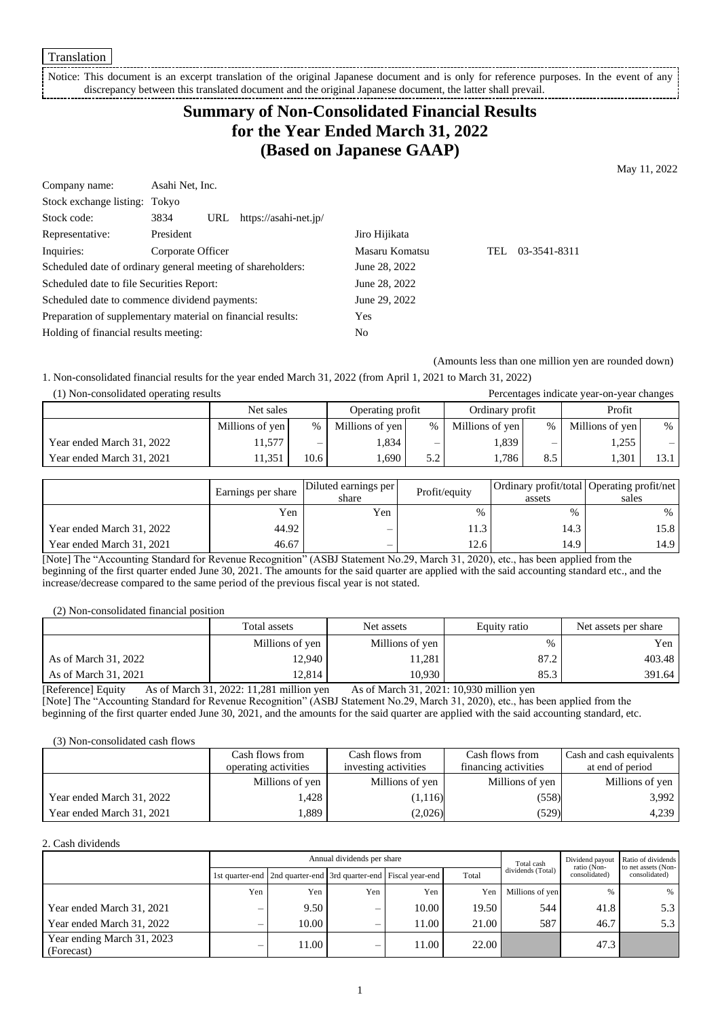Translation

Notice: This document is an excerpt translation of the original Japanese document and is only for reference purposes. In the event of any discrepancy between this translated document and the original Japanese document, the latter shall prevail.

# **Summary of Non-Consolidated Financial Results for the Year Ended March 31, 2022 (Based on Japanese GAAP)**

May 11, 2022

| Company name:                                               | Asahi Net, Inc.   |     |                       |                |      |              |
|-------------------------------------------------------------|-------------------|-----|-----------------------|----------------|------|--------------|
| Stock exchange listing: Tokyo                               |                   |     |                       |                |      |              |
| Stock code:                                                 | 3834              | URL | https://asahi-net.jp/ |                |      |              |
| Representative:                                             | President         |     |                       | Jiro Hijikata  |      |              |
| Inquiries:                                                  | Corporate Officer |     |                       | Masaru Komatsu | TEL. | 03-3541-8311 |
| Scheduled date of ordinary general meeting of shareholders: |                   |     |                       | June 28, 2022  |      |              |
| Scheduled date to file Securities Report:                   |                   |     |                       | June 28, 2022  |      |              |
| Scheduled date to commence dividend payments:               |                   |     |                       | June 29, 2022  |      |              |
| Preparation of supplementary material on financial results: |                   |     |                       | Yes            |      |              |
| Holding of financial results meeting:                       |                   |     | No                    |                |      |              |

(Amounts less than one million yen are rounded down)

1. Non-consolidated financial results for the year ended March 31, 2022 (from April 1, 2021 to March 31, 2022)

| (1) Non-consolidated operating results |                 |      | Percentages indicate year-on-year changes |     |                 |      |                 |      |
|----------------------------------------|-----------------|------|-------------------------------------------|-----|-----------------|------|-----------------|------|
|                                        | Net sales       |      | Operating profit                          |     | Ordinary profit |      | Profit          |      |
|                                        | Millions of yen | $\%$ | Millions of yen                           | %   | Millions of yen | $\%$ | Millions of yen | $\%$ |
| Year ended March 31, 2022              | 1.577           | -    | 1,834                                     | —   | 1,839           | –    | 1,255           |      |
| Year ended March 31, 2021              | 1.351           | 10.6 | . 690                                     | 5.2 | 1.786           | 8.5  | 1,301           | 13.1 |

|                           | Earnings per share | Diluted earnings per<br>share | Profit/equity | assets | Ordinary profit/total Operating profit/net<br>sales |
|---------------------------|--------------------|-------------------------------|---------------|--------|-----------------------------------------------------|
|                           | Yen                | Yen                           | $\%$          | $\%$   | $\%$                                                |
| Year ended March 31, 2022 | 44.92              |                               | 11.3          | 14.3   | 15.8                                                |
| Year ended March 31, 2021 | 46.67              | $\overline{\phantom{0}}$      | 12.6          | 14.9   | 14.9                                                |

[Note] The "Accounting Standard for Revenue Recognition" (ASBJ Statement No.29, March 31, 2020), etc., has been applied from the beginning of the first quarter ended June 30, 2021. The amounts for the said quarter are applied with the said accounting standard etc., and the increase/decrease compared to the same period of the previous fiscal year is not stated.

(2) Non-consolidated financial position

|                      | Total assets    | Net assets      | Equity ratio | Net assets per share |
|----------------------|-----------------|-----------------|--------------|----------------------|
|                      | Millions of yen | Millions of yen | $\%$         | Yen l                |
| As of March 31, 2022 | 12,940          | 11,281          | 87.2         | 403.48               |
| As of March 31, 2021 | 12.814          | 10.930 I        | 85.3         | 391.64               |

[Reference] Equity As of March 31, 2022: 11,281 million yen As of March 31, 2021: 10,930 million yen [Note] The "Accounting Standard for Revenue Recognition" (ASBJ Statement No.29, March 31, 2020), etc., has been applied from the beginning of the first quarter ended June 30, 2021, and the amounts for the said quarter are applied with the said accounting standard, etc.

(3) Non-consolidated cash flows

|                           | Cash flows from      | Cash flows from      | Cash flows from      | <b>Cash and cash equivalents</b> |
|---------------------------|----------------------|----------------------|----------------------|----------------------------------|
|                           | operating activities | investing activities | financing activities | at end of period                 |
|                           | Millions of yen      | Millions of yen      | Millions of yen      | Millions of yen                  |
| Year ended March 31, 2022 | .428                 | (1,116)              | (558)                | 3,992                            |
| Year ended March 31, 2021 | .889                 | (2,026)              | (529)                | 4,239                            |

#### 2. Cash dividends

| Annual dividends per share               |     |                                                                       |     |       |       | Total cash        | Dividend payout<br>ratio (Non- | Ratio of dividends<br>to net assets (Non- |
|------------------------------------------|-----|-----------------------------------------------------------------------|-----|-------|-------|-------------------|--------------------------------|-------------------------------------------|
|                                          |     | 1st quarter-end   2nd quarter-end   3rd quarter-end   Fiscal year-end |     |       | Total | dividends (Total) | consolidated)                  | consolidated)                             |
|                                          | Yen | Yen                                                                   | Yen | Yen   | Yen   | Millions of yen   | $\frac{0}{6}$                  | $\%$                                      |
| Year ended March 31, 2021                | _   | 9.50                                                                  | –   | 10.00 | 19.50 | 544               | 41.8                           | 5.3                                       |
| Year ended March 31, 2022                |     | 10.00                                                                 | —   | 11.00 | 21.00 | 587               | 46.7                           | 5.3                                       |
| Year ending March 31, 2023<br>(Forecast) |     | 11.00                                                                 | —   | 11.00 | 22.00 |                   | 47.3                           |                                           |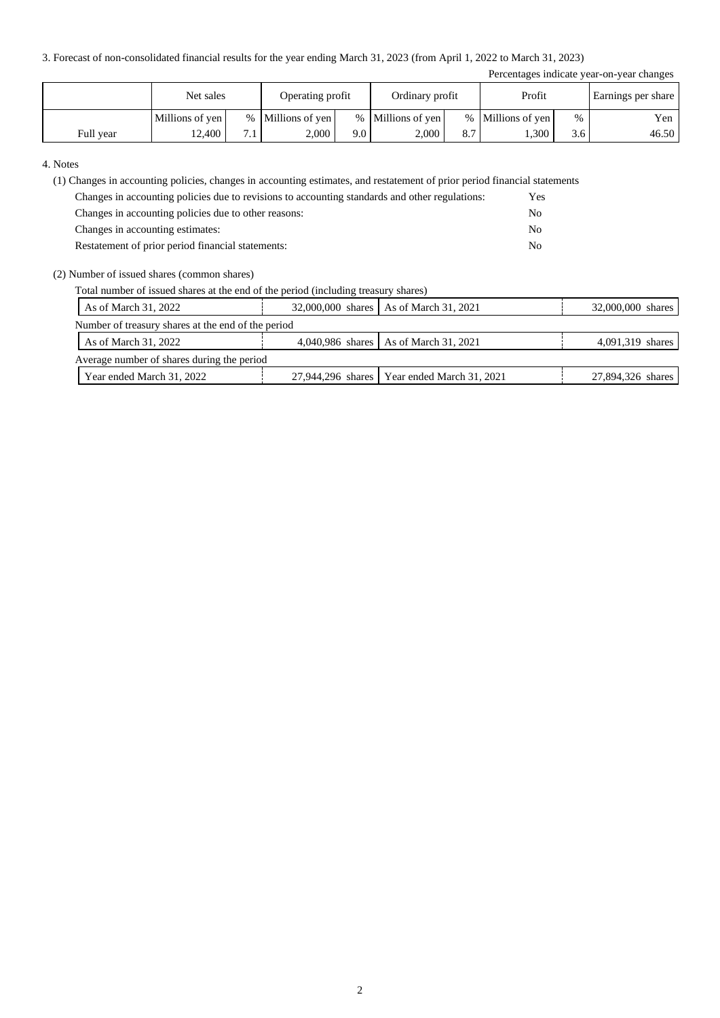3. Forecast of non-consolidated financial results for the year ending March 31, 2023 (from April 1, 2022 to March 31, 2023)

|           |                 |     |                   |      |                   |     |                   |      | Percentages indicate year-on-year changes |
|-----------|-----------------|-----|-------------------|------|-------------------|-----|-------------------|------|-------------------------------------------|
|           | Net sales       |     | Operating profit  |      | Ordinary profit   |     | Profit            |      | Earnings per share                        |
|           | Millions of yen |     | % Millions of yen |      | % Millions of yen |     | % Millions of yen | $\%$ | Yen                                       |
| Full year | 12.400          | 7.1 | 2.000             | 9.01 | 2,000             | 8.7 | .300              | 3.6  | 46.50                                     |

#### 4. Notes

(1) Changes in accounting policies, changes in accounting estimates, and restatement of prior period financial statements

| Changes in accounting policies due to revisions to accounting standards and other regulations: | Yes |
|------------------------------------------------------------------------------------------------|-----|
| Changes in accounting policies due to other reasons:                                           | No. |
| Changes in accounting estimates:                                                               | No. |
| Restatement of prior period financial statements:                                              | No. |

(2) Number of issued shares (common shares)

Total number of issued shares at the end of the period (including treasury shares)

| As of March 31, 2022                               |  | 32,000,000 shares As of March 31, 2021        | 32,000,000 shares |  |  |  |  |
|----------------------------------------------------|--|-----------------------------------------------|-------------------|--|--|--|--|
| Number of treasury shares at the end of the period |  |                                               |                   |  |  |  |  |
| As of March 31, 2022                               |  | 4,040,986 shares   As of March 31, 2021       | 4,091,319 shares  |  |  |  |  |
| Average number of shares during the period         |  |                                               |                   |  |  |  |  |
| Year ended March 31, 2022                          |  | 27,944,296 shares   Year ended March 31, 2021 | 27,894,326 shares |  |  |  |  |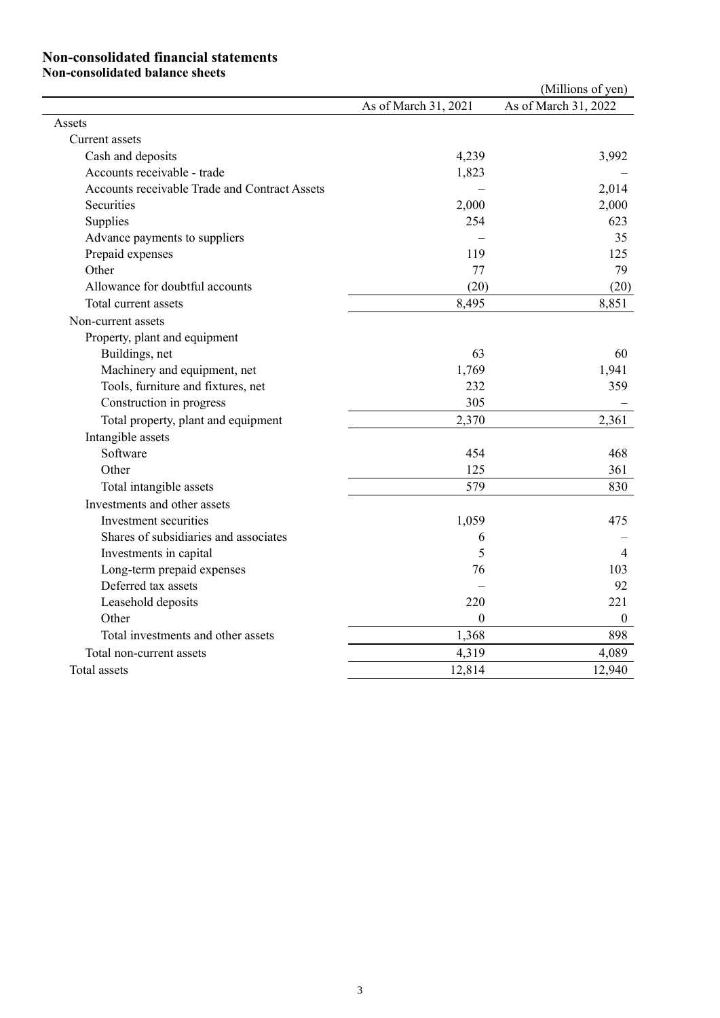#### **Non-consolidated financial statements**

**Non-consolidated balance sheets**

|                                               |                      | (Millions of yen)    |
|-----------------------------------------------|----------------------|----------------------|
|                                               | As of March 31, 2021 | As of March 31, 2022 |
| Assets                                        |                      |                      |
| Current assets                                |                      |                      |
| Cash and deposits                             | 4,239                | 3,992                |
| Accounts receivable - trade                   | 1,823                |                      |
| Accounts receivable Trade and Contract Assets |                      | 2,014                |
| Securities                                    | 2,000                | 2,000                |
| Supplies                                      | 254                  | 623                  |
| Advance payments to suppliers                 |                      | 35                   |
| Prepaid expenses                              | 119                  | 125                  |
| Other                                         | 77                   | 79                   |
| Allowance for doubtful accounts               | (20)                 | (20)                 |
| Total current assets                          | 8,495                | 8,851                |
| Non-current assets                            |                      |                      |
| Property, plant and equipment                 |                      |                      |
| Buildings, net                                | 63                   | 60                   |
| Machinery and equipment, net                  | 1,769                | 1,941                |
| Tools, furniture and fixtures, net            | 232                  | 359                  |
| Construction in progress                      | 305                  |                      |
| Total property, plant and equipment           | 2,370                | 2,361                |
| Intangible assets                             |                      |                      |
| Software                                      | 454                  | 468                  |
| Other                                         | 125                  | 361                  |
| Total intangible assets                       | 579                  | 830                  |
| Investments and other assets                  |                      |                      |
| Investment securities                         | 1,059                | 475                  |
| Shares of subsidiaries and associates         | 6                    |                      |
| Investments in capital                        | 5                    | 4                    |
| Long-term prepaid expenses                    | 76                   | 103                  |
| Deferred tax assets                           |                      | 92                   |
| Leasehold deposits                            | 220                  | 221                  |
| Other                                         | $\theta$             | $\mathbf{0}$         |
| Total investments and other assets            | 1,368                | 898                  |
| Total non-current assets                      | 4,319                | 4,089                |
| Total assets                                  | 12,814               | 12,940               |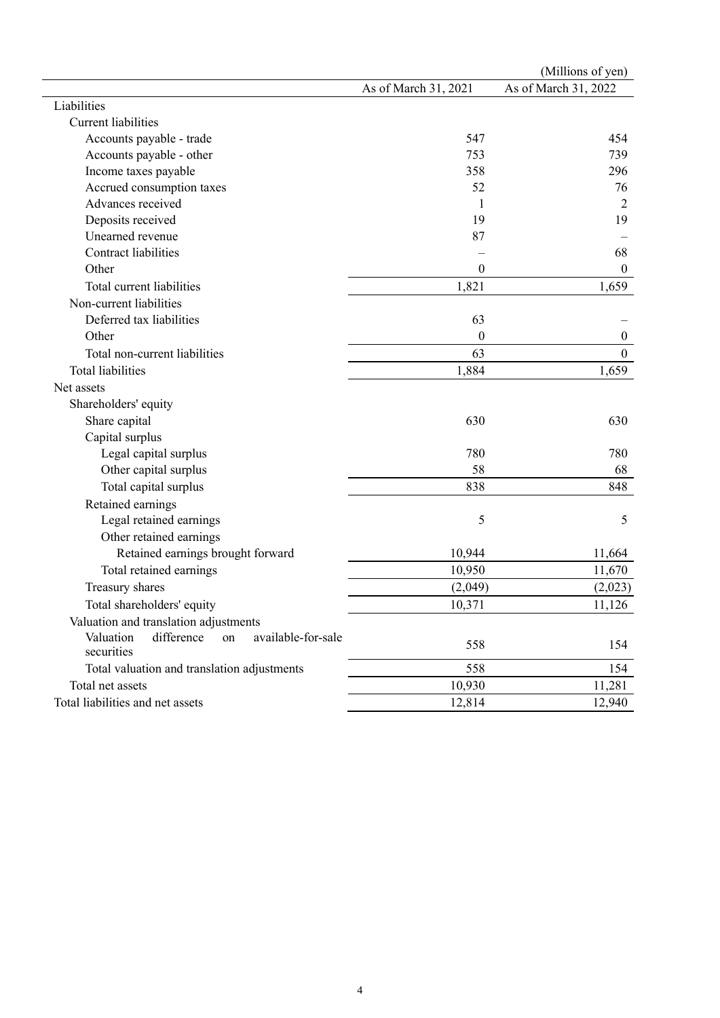|                                                                   |                      | (Millions of yen)    |
|-------------------------------------------------------------------|----------------------|----------------------|
|                                                                   | As of March 31, 2021 | As of March 31, 2022 |
| Liabilities                                                       |                      |                      |
| <b>Current liabilities</b>                                        |                      |                      |
| Accounts payable - trade                                          | 547                  | 454                  |
| Accounts payable - other                                          | 753                  | 739                  |
| Income taxes payable                                              | 358                  | 296                  |
| Accrued consumption taxes                                         | 52                   | 76                   |
| Advances received                                                 | 1                    | $\overline{2}$       |
| Deposits received                                                 | 19                   | 19                   |
| Unearned revenue                                                  | 87                   |                      |
| <b>Contract liabilities</b>                                       |                      | 68                   |
| Other                                                             | $\boldsymbol{0}$     | $\boldsymbol{0}$     |
| Total current liabilities                                         | 1,821                | 1,659                |
| Non-current liabilities                                           |                      |                      |
| Deferred tax liabilities                                          | 63                   |                      |
| Other                                                             | $\theta$             | $\boldsymbol{0}$     |
| Total non-current liabilities                                     | 63                   | $\boldsymbol{0}$     |
| <b>Total liabilities</b>                                          | 1,884                | 1,659                |
| Net assets                                                        |                      |                      |
| Shareholders' equity                                              |                      |                      |
| Share capital                                                     | 630                  | 630                  |
| Capital surplus                                                   |                      |                      |
| Legal capital surplus                                             | 780                  | 780                  |
| Other capital surplus                                             | 58                   | 68                   |
| Total capital surplus                                             | 838                  | 848                  |
| Retained earnings                                                 |                      |                      |
| Legal retained earnings                                           | 5                    | 5                    |
| Other retained earnings                                           |                      |                      |
| Retained earnings brought forward                                 | 10,944               | 11,664               |
| Total retained earnings                                           | 10,950               | 11,670               |
| Treasury shares                                                   | (2,049)              | (2,023)              |
| Total shareholders' equity                                        | 10,371               | 11,126               |
| Valuation and translation adjustments                             |                      |                      |
| Valuation<br>difference<br>available-for-sale<br>on<br>securities | 558                  | 154                  |
| Total valuation and translation adjustments                       | 558                  | 154                  |
| Total net assets                                                  | 10,930               | 11,281               |
| Total liabilities and net assets                                  | 12,814               | 12,940               |
|                                                                   |                      |                      |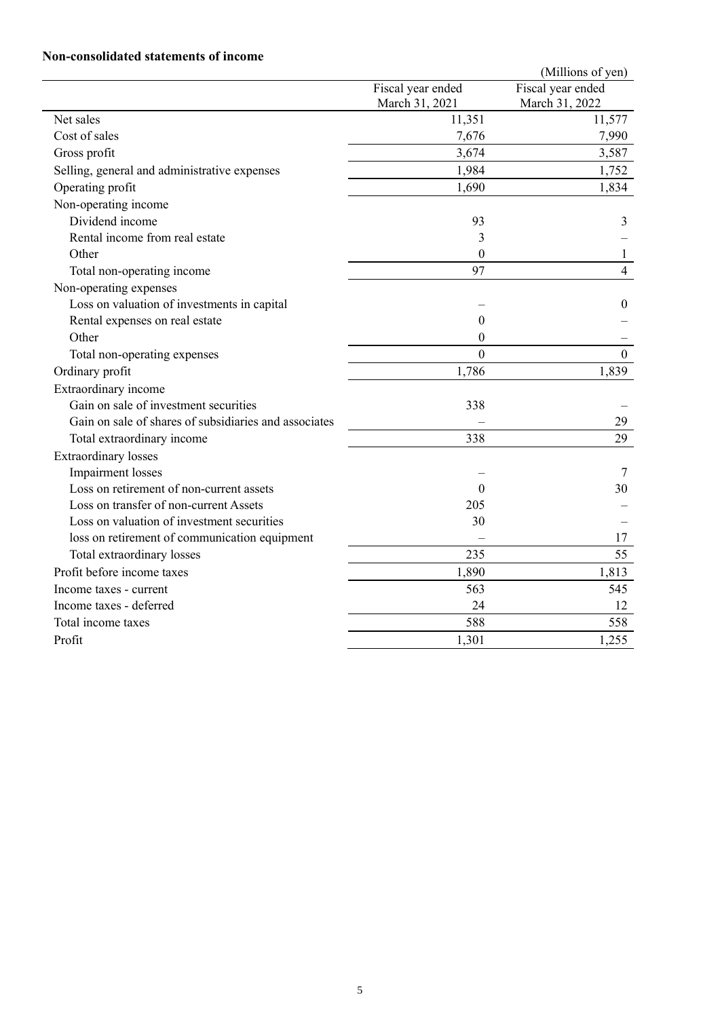# **Non-consolidated statements of income**

|                                                       |                                     | (Millions of yen)                   |
|-------------------------------------------------------|-------------------------------------|-------------------------------------|
|                                                       | Fiscal year ended<br>March 31, 2021 | Fiscal year ended<br>March 31, 2022 |
| Net sales                                             | 11,351                              | 11,577                              |
| Cost of sales                                         | 7,676                               | 7,990                               |
| Gross profit                                          | 3,674                               | 3,587                               |
| Selling, general and administrative expenses          | 1,984                               | 1,752                               |
| Operating profit                                      | 1,690                               | 1,834                               |
| Non-operating income                                  |                                     |                                     |
| Dividend income                                       | 93                                  | 3                                   |
| Rental income from real estate                        | $\overline{3}$                      |                                     |
| Other                                                 | $\mathbf{0}$                        | 1                                   |
| Total non-operating income                            | 97                                  | $\overline{4}$                      |
| Non-operating expenses                                |                                     |                                     |
| Loss on valuation of investments in capital           |                                     | $\overline{0}$                      |
| Rental expenses on real estate                        | $\theta$                            |                                     |
| Other                                                 | $\Omega$                            |                                     |
| Total non-operating expenses                          | $\theta$                            | $\theta$                            |
| Ordinary profit                                       | 1,786                               | 1,839                               |
| Extraordinary income                                  |                                     |                                     |
| Gain on sale of investment securities                 | 338                                 |                                     |
| Gain on sale of shares of subsidiaries and associates |                                     | 29                                  |
| Total extraordinary income                            | 338                                 | 29                                  |
| <b>Extraordinary</b> losses                           |                                     |                                     |
| Impairment losses                                     |                                     | 7                                   |
| Loss on retirement of non-current assets              | $\Omega$                            | 30                                  |
| Loss on transfer of non-current Assets                | 205                                 |                                     |
| Loss on valuation of investment securities            | 30                                  |                                     |
| loss on retirement of communication equipment         |                                     | 17                                  |
| Total extraordinary losses                            | 235                                 | 55                                  |
| Profit before income taxes                            | 1,890                               | 1,813                               |
| Income taxes - current                                | 563                                 | 545                                 |
| Income taxes - deferred                               | 24                                  | 12                                  |
| Total income taxes                                    | 588                                 | 558                                 |
| Profit                                                | 1,301                               | 1,255                               |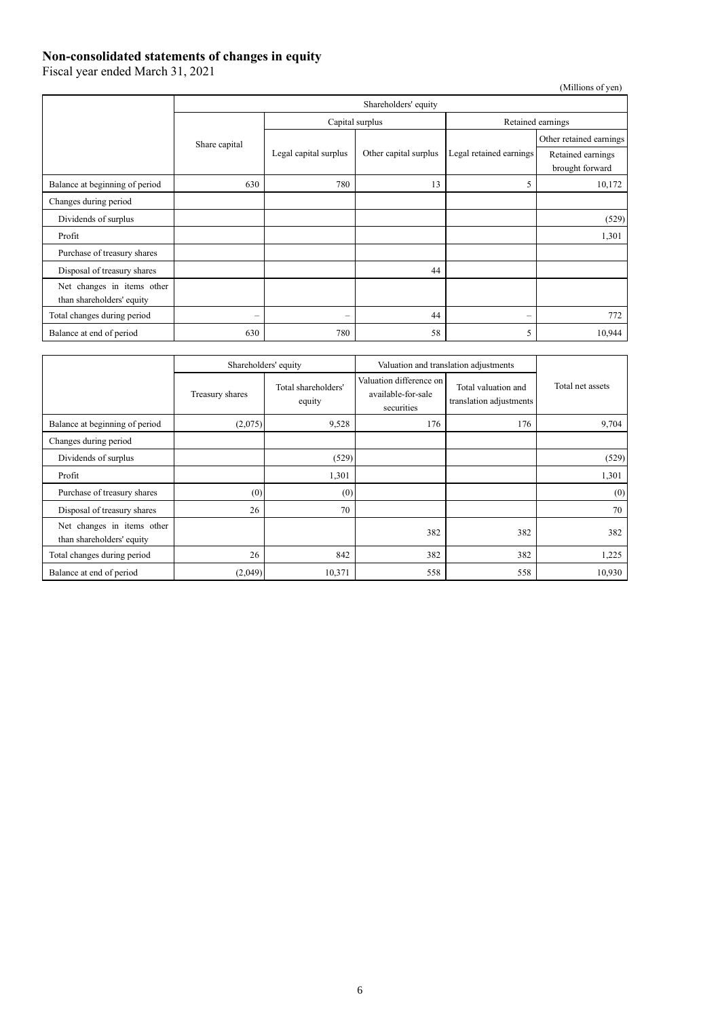### **Non-consolidated statements of changes in equity**

Fiscal year ended March 31, 2021

(Millions of yen) Shareholders' equity Share capital Capital surplus Retained earnings Legal capital surplus | Other capital surplus | Legal retained earnings Other retained earnings Retained earnings brought forward Balance at beginning of period 630 630 780 780 13 Changes during period Dividends of surplus (529) Profit 1,301 Purchase of treasury shares Disposal of treasury shares 144 Net changes in items other than shareholders' equity Total changes during period  $+$   $+$   $+$   $+$   $+$   $+$   $+$   $+$   $+$   $+$   $+$   $+$   $+$   $+$   $+$   $+$   $+$   $+$   $+$   $+$  Balance at end of period 630 630 780 780 58 58 5 10,944

|                                                         | Shareholders' equity |                               |                                                             | Valuation and translation adjustments          |                  |
|---------------------------------------------------------|----------------------|-------------------------------|-------------------------------------------------------------|------------------------------------------------|------------------|
|                                                         | Treasury shares      | Total shareholders'<br>equity | Valuation difference on<br>available-for-sale<br>securities | Total valuation and<br>translation adjustments | Total net assets |
| Balance at beginning of period                          | (2,075)              | 9,528                         | 176                                                         | 176                                            | 9,704            |
| Changes during period                                   |                      |                               |                                                             |                                                |                  |
| Dividends of surplus                                    |                      | (529)                         |                                                             |                                                | (529)            |
| Profit                                                  |                      | 1,301                         |                                                             |                                                | 1,301            |
| Purchase of treasury shares                             | (0)                  | (0)                           |                                                             |                                                | (0)              |
| Disposal of treasury shares                             | 26                   | 70                            |                                                             |                                                | 70               |
| Net changes in items other<br>than shareholders' equity |                      |                               | 382                                                         | 382                                            | 382              |
| Total changes during period                             | 26                   | 842                           | 382                                                         | 382                                            | 1,225            |
| Balance at end of period                                | (2,049)              | 10,371                        | 558                                                         | 558                                            | 10,930           |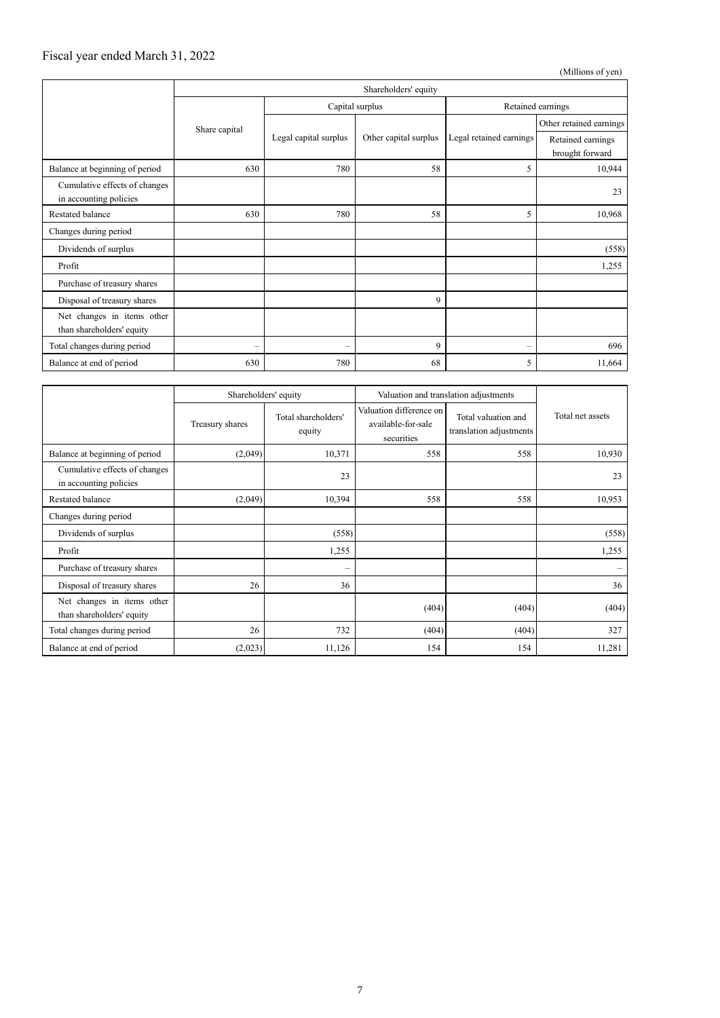### Fiscal year ended March 31, 2022

(Millions of yen)

|                                                         | Shareholders' equity     |                          |                       |                         |                                      |
|---------------------------------------------------------|--------------------------|--------------------------|-----------------------|-------------------------|--------------------------------------|
|                                                         | Share capital            | Capital surplus          |                       | Retained earnings       |                                      |
|                                                         |                          | Legal capital surplus    | Other capital surplus | Legal retained earnings | Other retained earnings              |
|                                                         |                          |                          |                       |                         | Retained earnings<br>brought forward |
| Balance at beginning of period                          | 630                      | 780                      | 58                    | 5                       | 10,944                               |
| Cumulative effects of changes<br>in accounting policies |                          |                          |                       |                         | 23                                   |
| Restated balance                                        | 630                      | 780                      | 58                    | 5                       | 10,968                               |
| Changes during period                                   |                          |                          |                       |                         |                                      |
| Dividends of surplus                                    |                          |                          |                       |                         | (558)                                |
| Profit                                                  |                          |                          |                       |                         | 1,255                                |
| Purchase of treasury shares                             |                          |                          |                       |                         |                                      |
| Disposal of treasury shares                             |                          |                          | 9                     |                         |                                      |
| Net changes in items other<br>than shareholders' equity |                          |                          |                       |                         |                                      |
| Total changes during period                             | $\overline{\phantom{0}}$ | $\overline{\phantom{0}}$ | 9                     | $\qquad \qquad -$       | 696                                  |
| Balance at end of period                                | 630                      | 780                      | 68                    | 5                       | 11,664                               |

|                                                         | Shareholders' equity |                               | Valuation and translation adjustments                       |                                                |                  |
|---------------------------------------------------------|----------------------|-------------------------------|-------------------------------------------------------------|------------------------------------------------|------------------|
|                                                         | Treasury shares      | Total shareholders'<br>equity | Valuation difference on<br>available-for-sale<br>securities | Total valuation and<br>translation adjustments | Total net assets |
| Balance at beginning of period                          | (2,049)              | 10,371                        | 558                                                         | 558                                            | 10,930           |
| Cumulative effects of changes<br>in accounting policies |                      | 23                            |                                                             |                                                | 23               |
| Restated balance                                        | (2,049)              | 10,394                        | 558                                                         | 558                                            | 10,953           |
| Changes during period                                   |                      |                               |                                                             |                                                |                  |
| Dividends of surplus                                    |                      | (558)                         |                                                             |                                                | (558)            |
| Profit                                                  |                      | 1,255                         |                                                             |                                                | 1,255            |
| Purchase of treasury shares                             |                      | -                             |                                                             |                                                |                  |
| Disposal of treasury shares                             | 26                   | 36                            |                                                             |                                                | 36               |
| Net changes in items other<br>than shareholders' equity |                      |                               | (404)                                                       | (404)                                          | (404)            |
| Total changes during period                             | 26                   | 732                           | (404)                                                       | (404)                                          | 327              |
| Balance at end of period                                | (2,023)              | 11,126                        | 154                                                         | 154                                            | 11,281           |